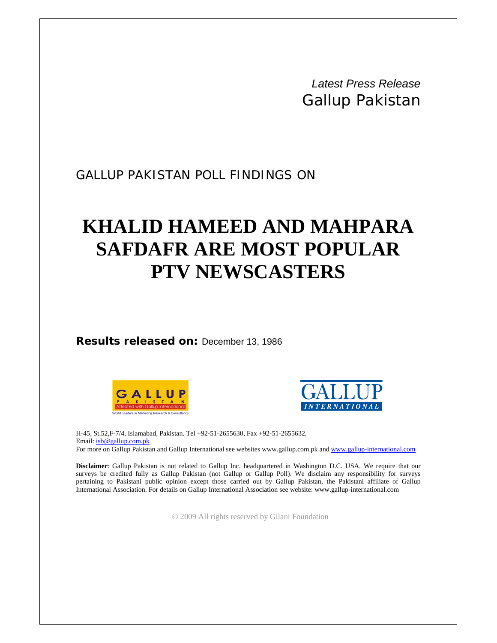*Latest Press Release Gallup Pakistan* 

## GALLUP PAKISTAN POLL FINDINGS ON

## **KHALID HAMEED AND MAHPARA SAFDAFR ARE MOST POPULAR PTV NEWSCASTERS**

**Results released on:** December 13, 1986





H-45, St.52,F-7/4, Islamabad, Pakistan. Tel +92-51-2655630, Fax +92-51-2655632, Email: isb@gallup.com.pk For more on Gallup Pakistan and Gallup International see websites www.gallup.com.pk and www.gallup-international.com

**Disclaimer**: Gallup Pakistan is not related to Gallup Inc. headquartered in Washington D.C. USA. We require that our surveys be credited fully as Gallup Pakistan (not Gallup or Gallup Poll). We disclaim any responsibility for surveys pertaining to Pakistani public opinion except those carried out by Gallup Pakistan, the Pakistani affiliate of Gallup International Association. For details on Gallup International Association see website: www.gallup-international.com

© 2009 All rights reserved by Gilani Foundation